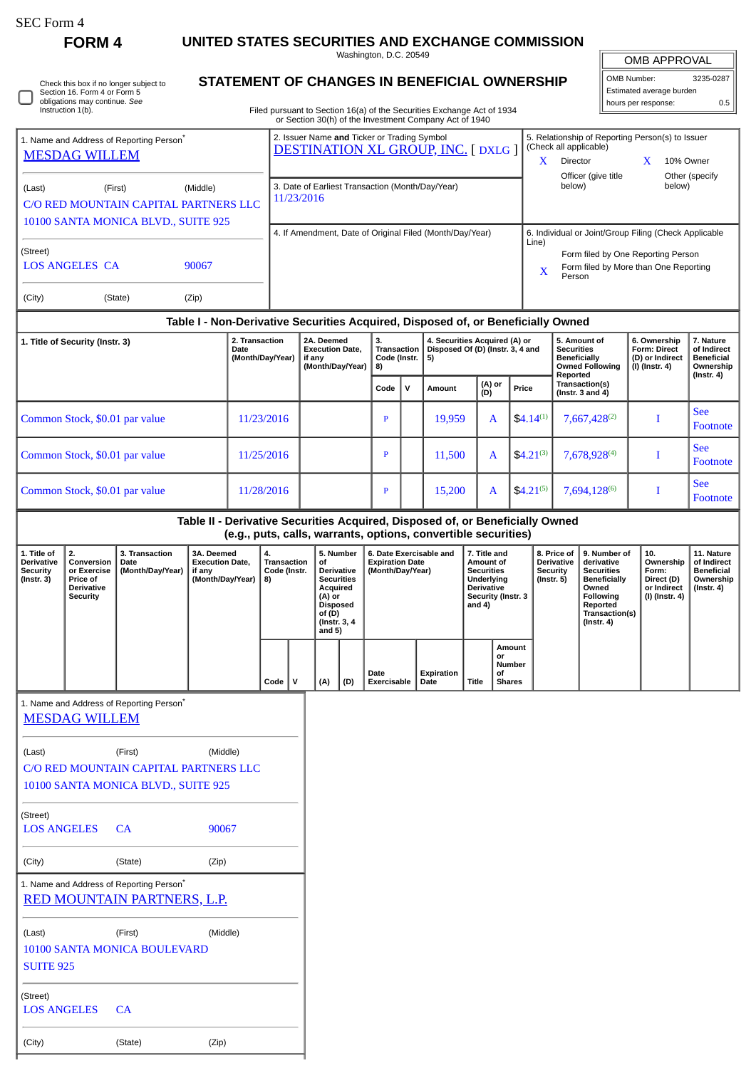| SEC Form 4 |  |
|------------|--|
|------------|--|

 $\Box$ 

**FORM 4 UNITED STATES SECURITIES AND EXCHANGE COMMISSION**

Washington, D.C. 20549

| Check this box if no longer subject to<br>Section 16. Form 4 or Form 5<br>obligations may continue. See |
|---------------------------------------------------------------------------------------------------------|
| Instruction 1(b).                                                                                       |

## **STATEMENT OF CHANGES IN BENEFICIAL OWNERSHIP**

Filed pursuant to Section 16(a) of the Securities Exchange Act of 1934 or Section 30(h) of the Investment Company Act of 1940

| OMB APPROVAL             |           |  |  |  |  |
|--------------------------|-----------|--|--|--|--|
| OMB Number:              | 3235-0287 |  |  |  |  |
| Estimated average burden |           |  |  |  |  |
| hours per response:      | 0.5       |  |  |  |  |

See Footnote

|                                                                                                               |            | or Section 30(h) of the Investment Company Act of 1940                                   |                                                                                                                           |              |        |               |                                                                                                |                                                                                                                                                |                                                                                |                             |  |
|---------------------------------------------------------------------------------------------------------------|------------|------------------------------------------------------------------------------------------|---------------------------------------------------------------------------------------------------------------------------|--------------|--------|---------------|------------------------------------------------------------------------------------------------|------------------------------------------------------------------------------------------------------------------------------------------------|--------------------------------------------------------------------------------|-----------------------------|--|
| 1. Name and Address of Reporting Person <sup>®</sup><br><b>MESDAG WILLEM</b>                                  |            | 2. Issuer Name and Ticker or Trading Symbol<br><b>DESTINATION XL GROUP, INC. [DXLG ]</b> |                                                                                                                           |              |        |               |                                                                                                | 5. Relationship of Reporting Person(s) to Issuer<br>(Check all applicable)<br><b>Director</b><br>Officer (give title                           | X                                                                              | 10% Owner<br>Other (specify |  |
| (First)<br>(Middle)<br>(Last)<br>C/O RED MOUNTAIN CAPITAL PARTNERS LLC<br>10100 SANTA MONICA BLVD., SUITE 925 |            | 3. Date of Earliest Transaction (Month/Day/Year)<br>11/23/2016                           |                                                                                                                           |              |        |               |                                                                                                | below)<br>below)                                                                                                                               |                                                                                |                             |  |
| (Street)<br><b>LOS ANGELES CA</b><br>90067<br>(City)<br>(State)<br>(Zip)                                      |            | 4. If Amendment, Date of Original Filed (Month/Day/Year)                                 |                                                                                                                           |              |        |               | Line)<br>$\mathbf x$                                                                           | 6. Individual or Joint/Group Filing (Check Applicable<br>Form filed by One Reporting Person<br>Form filed by More than One Reporting<br>Person |                                                                                |                             |  |
|                                                                                                               |            | Table I - Non-Derivative Securities Acquired, Disposed of, or Beneficially Owned         |                                                                                                                           |              |        |               |                                                                                                |                                                                                                                                                |                                                                                |                             |  |
| 2. Transaction<br>1. Title of Security (Instr. 3)<br>Date<br>(Month/Day/Year)                                 |            | 2A. Deemed<br><b>Execution Date.</b><br>if any<br>(Month/Day/Year)                       | 4. Securities Acquired (A) or<br>3.<br>Disposed Of (D) (Instr. 3, 4 and<br><b>Transaction</b><br>Code (Instr.<br>5)<br>8) |              |        |               | 5. Amount of<br><b>Securities</b><br><b>Beneficially</b><br><b>Owned Following</b><br>Reported | 6. Ownership<br>Form: Direct<br>(D) or Indirect<br>(I) (Instr. 4)                                                                              | 7. Nature<br>of Indirect<br><b>Beneficial</b><br>Ownership<br>$($ Instr. 4 $)$ |                             |  |
|                                                                                                               |            |                                                                                          | Code                                                                                                                      | $\mathsf{v}$ | Amount | (A) or<br>(D) | Price                                                                                          | Transaction(s)<br>(Instr. $3$ and $4$ )                                                                                                        |                                                                                |                             |  |
| Common Stock, \$0.01 par value                                                                                | 11/23/2016 |                                                                                          | P                                                                                                                         |              | 19.959 | $\mathbf{A}$  | $$4.14^{(1)}$                                                                                  | 7,667,428(2)                                                                                                                                   |                                                                                | <b>See</b><br>Footnote      |  |
| Common Stock, \$0.01 par value                                                                                | 11/25/2016 |                                                                                          | P                                                                                                                         |              | 11,500 | A             | $$4.21^{(3)}$                                                                                  | 7,678,928(4)                                                                                                                                   |                                                                                | <b>See</b><br>Footnote      |  |

## **Table II - Derivative Securities Acquired, Disposed of, or Beneficially Owned**

**(e.g., puts, calls, warrants, options, convertible securities)**

Common Stock, \$0.01 par value 11/28/2016 P 15,200 A \$4.21<sup>(5)</sup> 7,694,128<sup>(6)</sup> I

|                                                     |                                                                                     |                                              |                                                                    |                                         |             |                                                                                                                                                                                |     | iciaii para, cana, warranta, optiona, convertible accariticaj |                         |       |                                                                                                                      |                                                                  |                                                                                                                                                |                                                                          |                                                                           |
|-----------------------------------------------------|-------------------------------------------------------------------------------------|----------------------------------------------|--------------------------------------------------------------------|-----------------------------------------|-------------|--------------------------------------------------------------------------------------------------------------------------------------------------------------------------------|-----|---------------------------------------------------------------|-------------------------|-------|----------------------------------------------------------------------------------------------------------------------|------------------------------------------------------------------|------------------------------------------------------------------------------------------------------------------------------------------------|--------------------------------------------------------------------------|---------------------------------------------------------------------------|
| 1. Title of<br>Derivative<br>Security<br>(Instr. 3) | 2.<br>Conversion<br>or Exercise<br><b>Price of</b><br><b>Derivative</b><br>Security | 3. Transaction<br>l Date<br>(Month/Day/Year) | 3A. Deemed<br><b>Execution Date.</b><br>if any<br>(Month/Day/Year) | 4.<br>Transaction<br>Code (Instr.<br>8) |             | 5. Number<br><b>Expiration Date</b><br>οf<br><b>Derivative</b><br>(Month/Day/Year)<br><b>Securities</b><br>Acquired<br>(A) or<br>Disposed<br>of (D)<br>(Instr. 3, 4)<br>and 5) |     |                                                               | 6. Date Exercisable and |       | 7. Title and<br>Amount of<br><b>Securities</b><br>Underlying<br><b>Derivative</b><br>Security (Instr. 3<br>and $4$ ) | 8. Price of<br><b>Derivative</b><br>Security<br>$($ Instr. 5 $)$ | 9. Number of<br>derivative<br><b>Securities</b><br>Beneficially<br>Owned<br><b>Following</b><br>Reported<br>Transaction(s)<br>$($ Instr. 4 $)$ | 10.<br>Ownership<br>Form:<br>Direct (D)<br>or Indirect<br>(I) (Instr. 4) | 11. Nature<br>of Indirect<br><b>Beneficial</b><br>Ownership<br>(Instr. 4) |
|                                                     |                                                                                     |                                              |                                                                    | $Code \vert$                            | $\mathbf v$ | (A)                                                                                                                                                                            | (D) | Date<br>Exercisable                                           | Expiration<br>Date      | Title | Amount<br>or<br>Number<br>οf<br><b>Shares</b>                                                                        |                                                                  |                                                                                                                                                |                                                                          |                                                                           |
|                                                     |                                                                                     |                                              |                                                                    |                                         |             |                                                                                                                                                                                |     |                                                               |                         |       |                                                                                                                      |                                                                  |                                                                                                                                                |                                                                          |                                                                           |

1. Name and Address of Reporting Person<sup>\*</sup>

[MESDAG WILLEM](http://www.sec.gov/cgi-bin/browse-edgar?action=getcompany&CIK=0001374566)

|                                       |                                                                         | (Middle) |  |  |  |  |  |  |
|---------------------------------------|-------------------------------------------------------------------------|----------|--|--|--|--|--|--|
| (Last)                                | (First)                                                                 |          |  |  |  |  |  |  |
| C/O RED MOUNTAIN CAPITAL PARTNERS LLC |                                                                         |          |  |  |  |  |  |  |
| 10100 SANTA MONICA BLVD., SUITE 925   |                                                                         |          |  |  |  |  |  |  |
|                                       |                                                                         |          |  |  |  |  |  |  |
| (Street)                              |                                                                         |          |  |  |  |  |  |  |
| LOS ANGELES CA                        |                                                                         | 90067    |  |  |  |  |  |  |
|                                       |                                                                         |          |  |  |  |  |  |  |
| (City)                                | (State)                                                                 | (Zip)    |  |  |  |  |  |  |
|                                       |                                                                         |          |  |  |  |  |  |  |
|                                       | 1. Name and Address of Reporting Person*<br>RED MOUNTAIN PARTNERS, L.P. |          |  |  |  |  |  |  |
|                                       |                                                                         |          |  |  |  |  |  |  |
| (Last)                                | (First)                                                                 | (Middle) |  |  |  |  |  |  |
|                                       |                                                                         |          |  |  |  |  |  |  |
|                                       | <b>10100 SANTA MONICA BOULEVARD</b>                                     |          |  |  |  |  |  |  |
|                                       |                                                                         |          |  |  |  |  |  |  |
| <b>SUITE 925</b>                      |                                                                         |          |  |  |  |  |  |  |
|                                       |                                                                         |          |  |  |  |  |  |  |
| (Street)                              |                                                                         |          |  |  |  |  |  |  |
| <b>LOS ANGELES</b>                    | CA                                                                      |          |  |  |  |  |  |  |
|                                       |                                                                         |          |  |  |  |  |  |  |